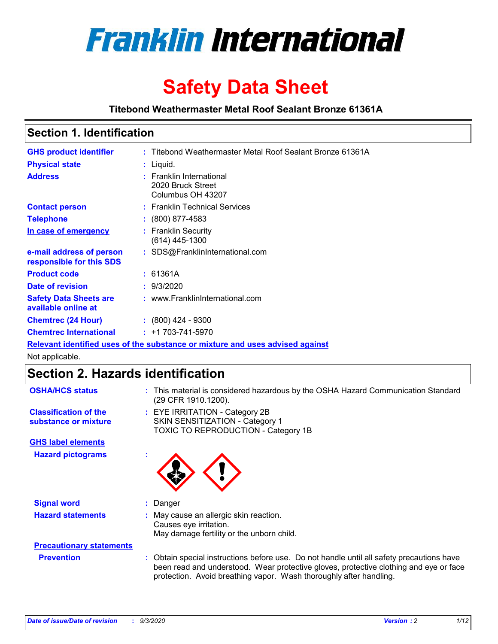

# **Safety Data Sheet**

**Titebond Weathermaster Metal Roof Sealant Bronze 61361A**

### **Section 1. Identification**

| <b>GHS product identifier</b>                                                 |  | : Titebond Weathermaster Metal Roof Sealant Bronze 61361A          |  |  |
|-------------------------------------------------------------------------------|--|--------------------------------------------------------------------|--|--|
| <b>Physical state</b>                                                         |  | : Liquid.                                                          |  |  |
| <b>Address</b>                                                                |  | : Franklin International<br>2020 Bruck Street<br>Columbus OH 43207 |  |  |
| <b>Contact person</b>                                                         |  | : Franklin Technical Services                                      |  |  |
| <b>Telephone</b>                                                              |  | $\div$ (800) 877-4583                                              |  |  |
| In case of emergency                                                          |  | : Franklin Security<br>(614) 445-1300                              |  |  |
| e-mail address of person<br>responsible for this SDS                          |  | : SDS@FranklinInternational.com                                    |  |  |
| <b>Product code</b>                                                           |  | : 61361A                                                           |  |  |
| Date of revision                                                              |  | : 9/3/2020                                                         |  |  |
| <b>Safety Data Sheets are</b><br>available online at                          |  | : www.FranklinInternational.com                                    |  |  |
| <b>Chemtrec (24 Hour)</b>                                                     |  | $: (800)$ 424 - 9300                                               |  |  |
| <b>Chemtrec International</b>                                                 |  | $: +1703 - 741 - 5970$                                             |  |  |
| Relevant identified uses of the substance or mixture and uses advised against |  |                                                                    |  |  |

Not applicable.

# **Section 2. Hazards identification**

| <b>OSHA/HCS status</b>                               |                                                                                                          | : This material is considered hazardous by the OSHA Hazard Communication Standard<br>(29 CFR 1910.1200).                                                                                                                                                 |  |  |  |
|------------------------------------------------------|----------------------------------------------------------------------------------------------------------|----------------------------------------------------------------------------------------------------------------------------------------------------------------------------------------------------------------------------------------------------------|--|--|--|
| <b>Classification of the</b><br>substance or mixture | : EYE IRRITATION - Category 2B<br>SKIN SENSITIZATION - Category 1<br>TOXIC TO REPRODUCTION - Category 1B |                                                                                                                                                                                                                                                          |  |  |  |
| <b>GHS label elements</b>                            |                                                                                                          |                                                                                                                                                                                                                                                          |  |  |  |
| <b>Hazard pictograms</b>                             | ٠                                                                                                        |                                                                                                                                                                                                                                                          |  |  |  |
| <b>Signal word</b>                                   | ÷.                                                                                                       | Danger                                                                                                                                                                                                                                                   |  |  |  |
| <b>Hazard statements</b>                             |                                                                                                          | May cause an allergic skin reaction.<br>Causes eye irritation.<br>May damage fertility or the unborn child.                                                                                                                                              |  |  |  |
| <b>Precautionary statements</b>                      |                                                                                                          |                                                                                                                                                                                                                                                          |  |  |  |
| <b>Prevention</b>                                    |                                                                                                          | : Obtain special instructions before use. Do not handle until all safety precautions have<br>been read and understood. Wear protective gloves, protective clothing and eye or face<br>protection. Avoid breathing vapor. Wash thoroughly after handling. |  |  |  |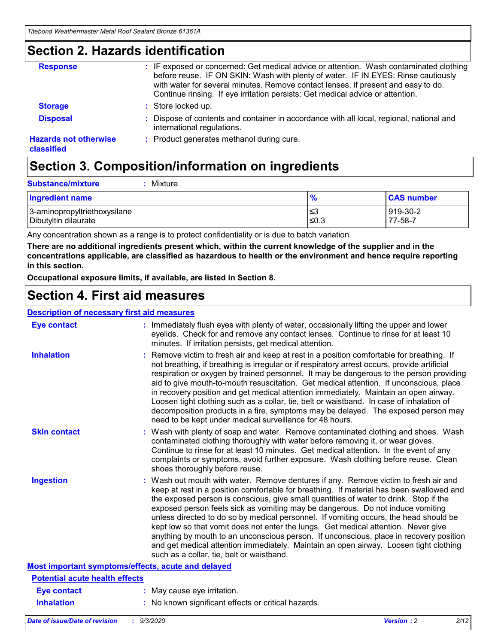### **Section 2. Hazards identification**

| <b>Response</b>                            | : IF exposed or concerned: Get medical advice or attention. Wash contaminated clothing<br>before reuse. IF ON SKIN: Wash with plenty of water. IF IN EYES: Rinse cautiously<br>with water for several minutes. Remove contact lenses, if present and easy to do.<br>Continue rinsing. If eye irritation persists: Get medical advice or attention. |
|--------------------------------------------|----------------------------------------------------------------------------------------------------------------------------------------------------------------------------------------------------------------------------------------------------------------------------------------------------------------------------------------------------|
| <b>Storage</b>                             | : Store locked up.                                                                                                                                                                                                                                                                                                                                 |
| <b>Disposal</b>                            | : Dispose of contents and container in accordance with all local, regional, national and<br>international regulations.                                                                                                                                                                                                                             |
| <b>Hazards not otherwise</b><br>classified | : Product generates methanol during cure.                                                                                                                                                                                                                                                                                                          |

# **Section 3. Composition/information on ingredients**

| <b>Substance/mixture</b> | Mixture |
|--------------------------|---------|
|                          |         |

| <b>Ingredient name</b>       | $\frac{9}{6}$ | <b>CAS number</b> |
|------------------------------|---------------|-------------------|
| 3-aminopropyltriethoxysilane | ≤3            | 919-30-2          |
| Dibutyltin dilaurate         | ∣≤0.3         | 77-58-7           |

Any concentration shown as a range is to protect confidentiality or is due to batch variation.

**There are no additional ingredients present which, within the current knowledge of the supplier and in the concentrations applicable, are classified as hazardous to health or the environment and hence require reporting in this section.**

**Occupational exposure limits, if available, are listed in Section 8.**

### **Section 4. First aid measures**

| <b>Description of necessary first aid measures</b> |                                                                                                                                                                                                                                                                                                                                                                                                                                                                                                                                                                                                                                                                                                                                                                           |
|----------------------------------------------------|---------------------------------------------------------------------------------------------------------------------------------------------------------------------------------------------------------------------------------------------------------------------------------------------------------------------------------------------------------------------------------------------------------------------------------------------------------------------------------------------------------------------------------------------------------------------------------------------------------------------------------------------------------------------------------------------------------------------------------------------------------------------------|
| <b>Eye contact</b>                                 | : Immediately flush eyes with plenty of water, occasionally lifting the upper and lower<br>eyelids. Check for and remove any contact lenses. Continue to rinse for at least 10<br>minutes. If irritation persists, get medical attention.                                                                                                                                                                                                                                                                                                                                                                                                                                                                                                                                 |
| <b>Inhalation</b>                                  | : Remove victim to fresh air and keep at rest in a position comfortable for breathing. If<br>not breathing, if breathing is irregular or if respiratory arrest occurs, provide artificial<br>respiration or oxygen by trained personnel. It may be dangerous to the person providing<br>aid to give mouth-to-mouth resuscitation. Get medical attention. If unconscious, place<br>in recovery position and get medical attention immediately. Maintain an open airway.<br>Loosen tight clothing such as a collar, tie, belt or waistband. In case of inhalation of<br>decomposition products in a fire, symptoms may be delayed. The exposed person may<br>need to be kept under medical surveillance for 48 hours.                                                       |
| <b>Skin contact</b>                                | : Wash with plenty of soap and water. Remove contaminated clothing and shoes. Wash<br>contaminated clothing thoroughly with water before removing it, or wear gloves.<br>Continue to rinse for at least 10 minutes. Get medical attention. In the event of any<br>complaints or symptoms, avoid further exposure. Wash clothing before reuse. Clean<br>shoes thoroughly before reuse.                                                                                                                                                                                                                                                                                                                                                                                     |
| <b>Ingestion</b>                                   | : Wash out mouth with water. Remove dentures if any. Remove victim to fresh air and<br>keep at rest in a position comfortable for breathing. If material has been swallowed and<br>the exposed person is conscious, give small quantities of water to drink. Stop if the<br>exposed person feels sick as vomiting may be dangerous. Do not induce vomiting<br>unless directed to do so by medical personnel. If vomiting occurs, the head should be<br>kept low so that vomit does not enter the lungs. Get medical attention. Never give<br>anything by mouth to an unconscious person. If unconscious, place in recovery position<br>and get medical attention immediately. Maintain an open airway. Loosen tight clothing<br>such as a collar, tie, belt or waistband. |
| Most important symptoms/effects, acute and delayed |                                                                                                                                                                                                                                                                                                                                                                                                                                                                                                                                                                                                                                                                                                                                                                           |
| <b>Potential acute health effects</b>              |                                                                                                                                                                                                                                                                                                                                                                                                                                                                                                                                                                                                                                                                                                                                                                           |
| <b>Eye contact</b>                                 | : May cause eye irritation.                                                                                                                                                                                                                                                                                                                                                                                                                                                                                                                                                                                                                                                                                                                                               |
| <b>Inhalation</b>                                  | : No known significant effects or critical hazards.                                                                                                                                                                                                                                                                                                                                                                                                                                                                                                                                                                                                                                                                                                                       |
|                                                    |                                                                                                                                                                                                                                                                                                                                                                                                                                                                                                                                                                                                                                                                                                                                                                           |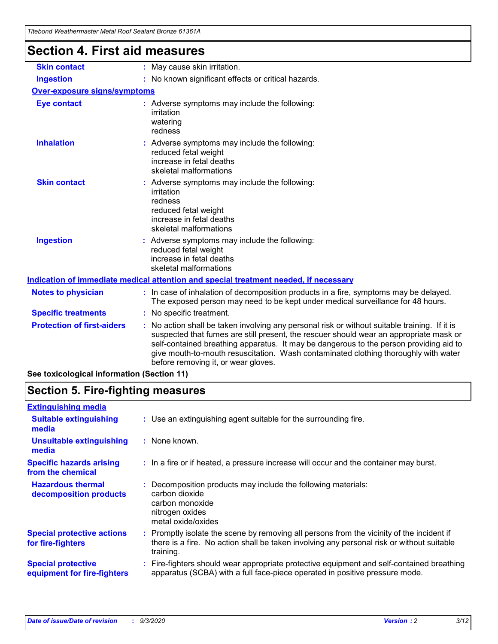| Titepong weathermaster Metal Roof Sealant Bronze 61361A |                                                                                                                                                                                                                                                                                                                                                                                                                 |
|---------------------------------------------------------|-----------------------------------------------------------------------------------------------------------------------------------------------------------------------------------------------------------------------------------------------------------------------------------------------------------------------------------------------------------------------------------------------------------------|
| Section 4. First aid measures                           |                                                                                                                                                                                                                                                                                                                                                                                                                 |
| <b>Skin contact</b>                                     | : May cause skin irritation.                                                                                                                                                                                                                                                                                                                                                                                    |
| <b>Ingestion</b>                                        | : No known significant effects or critical hazards.                                                                                                                                                                                                                                                                                                                                                             |
| Over-exposure signs/symptoms                            |                                                                                                                                                                                                                                                                                                                                                                                                                 |
| <b>Eye contact</b>                                      | : Adverse symptoms may include the following:<br>irritation<br>watering<br>redness                                                                                                                                                                                                                                                                                                                              |
| <b>Inhalation</b>                                       | : Adverse symptoms may include the following:<br>reduced fetal weight<br>increase in fetal deaths<br>skeletal malformations                                                                                                                                                                                                                                                                                     |
| <b>Skin contact</b>                                     | : Adverse symptoms may include the following:<br>irritation<br>redness<br>reduced fetal weight<br>increase in fetal deaths<br>skeletal malformations                                                                                                                                                                                                                                                            |
| <b>Ingestion</b>                                        | : Adverse symptoms may include the following:<br>reduced fetal weight<br>increase in fetal deaths<br>skeletal malformations                                                                                                                                                                                                                                                                                     |
|                                                         | Indication of immediate medical attention and special treatment needed, if necessary                                                                                                                                                                                                                                                                                                                            |
| <b>Notes to physician</b>                               | : In case of inhalation of decomposition products in a fire, symptoms may be delayed.<br>The exposed person may need to be kept under medical surveillance for 48 hours.                                                                                                                                                                                                                                        |
| <b>Specific treatments</b>                              | : No specific treatment.                                                                                                                                                                                                                                                                                                                                                                                        |
| <b>Protection of first-aiders</b>                       | : No action shall be taken involving any personal risk or without suitable training. If it is<br>suspected that fumes are still present, the rescuer should wear an appropriate mask or<br>self-contained breathing apparatus. It may be dangerous to the person providing aid to<br>give mouth-to-mouth resuscitation. Wash contaminated clothing thoroughly with water<br>before removing it, or wear gloves. |
| See toxicological information (Section 11)              |                                                                                                                                                                                                                                                                                                                                                                                                                 |

# **Section 5. Fire-fighting measures**

| <b>Extinguishing media</b>                               |                                                                                                                                                                                                     |
|----------------------------------------------------------|-----------------------------------------------------------------------------------------------------------------------------------------------------------------------------------------------------|
| <b>Suitable extinguishing</b><br>media                   | : Use an extinguishing agent suitable for the surrounding fire.                                                                                                                                     |
| <b>Unsuitable extinguishing</b><br>media                 | : None known.                                                                                                                                                                                       |
| <b>Specific hazards arising</b><br>from the chemical     | : In a fire or if heated, a pressure increase will occur and the container may burst.                                                                                                               |
| <b>Hazardous thermal</b><br>decomposition products       | : Decomposition products may include the following materials:<br>carbon dioxide<br>carbon monoxide<br>nitrogen oxides<br>metal oxide/oxides                                                         |
| <b>Special protective actions</b><br>for fire-fighters   | : Promptly isolate the scene by removing all persons from the vicinity of the incident if<br>there is a fire. No action shall be taken involving any personal risk or without suitable<br>training. |
| <b>Special protective</b><br>equipment for fire-fighters | Fire-fighters should wear appropriate protective equipment and self-contained breathing<br>apparatus (SCBA) with a full face-piece operated in positive pressure mode.                              |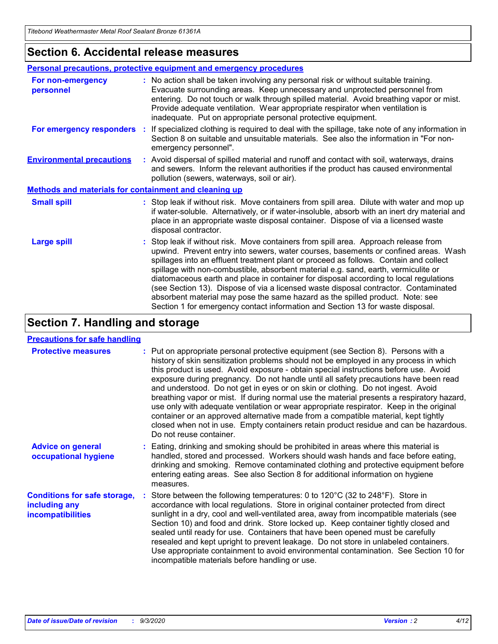### **Section 6. Accidental release measures**

|                                                              | <b>Personal precautions, protective equipment and emergency procedures</b>                                                                                                                                                                                                                                                                                                                                                                                                                                                                                                                                                                                                                                   |  |  |  |  |  |
|--------------------------------------------------------------|--------------------------------------------------------------------------------------------------------------------------------------------------------------------------------------------------------------------------------------------------------------------------------------------------------------------------------------------------------------------------------------------------------------------------------------------------------------------------------------------------------------------------------------------------------------------------------------------------------------------------------------------------------------------------------------------------------------|--|--|--|--|--|
| For non-emergency<br>personnel                               | : No action shall be taken involving any personal risk or without suitable training.<br>Evacuate surrounding areas. Keep unnecessary and unprotected personnel from<br>entering. Do not touch or walk through spilled material. Avoid breathing vapor or mist.<br>Provide adequate ventilation. Wear appropriate respirator when ventilation is<br>inadequate. Put on appropriate personal protective equipment.                                                                                                                                                                                                                                                                                             |  |  |  |  |  |
| For emergency responders                                     | : If specialized clothing is required to deal with the spillage, take note of any information in<br>Section 8 on suitable and unsuitable materials. See also the information in "For non-<br>emergency personnel".                                                                                                                                                                                                                                                                                                                                                                                                                                                                                           |  |  |  |  |  |
| <b>Environmental precautions</b>                             | : Avoid dispersal of spilled material and runoff and contact with soil, waterways, drains<br>and sewers. Inform the relevant authorities if the product has caused environmental<br>pollution (sewers, waterways, soil or air).                                                                                                                                                                                                                                                                                                                                                                                                                                                                              |  |  |  |  |  |
| <b>Methods and materials for containment and cleaning up</b> |                                                                                                                                                                                                                                                                                                                                                                                                                                                                                                                                                                                                                                                                                                              |  |  |  |  |  |
| <b>Small spill</b>                                           | : Stop leak if without risk. Move containers from spill area. Dilute with water and mop up<br>if water-soluble. Alternatively, or if water-insoluble, absorb with an inert dry material and<br>place in an appropriate waste disposal container. Dispose of via a licensed waste<br>disposal contractor.                                                                                                                                                                                                                                                                                                                                                                                                     |  |  |  |  |  |
| <b>Large spill</b>                                           | : Stop leak if without risk. Move containers from spill area. Approach release from<br>upwind. Prevent entry into sewers, water courses, basements or confined areas. Wash<br>spillages into an effluent treatment plant or proceed as follows. Contain and collect<br>spillage with non-combustible, absorbent material e.g. sand, earth, vermiculite or<br>diatomaceous earth and place in container for disposal according to local regulations<br>(see Section 13). Dispose of via a licensed waste disposal contractor. Contaminated<br>absorbent material may pose the same hazard as the spilled product. Note: see<br>Section 1 for emergency contact information and Section 13 for waste disposal. |  |  |  |  |  |

### **Section 7. Handling and storage**

#### **Precautions for safe handling**

| <b>Protective measures</b>                                                       | : Put on appropriate personal protective equipment (see Section 8). Persons with a<br>history of skin sensitization problems should not be employed in any process in which<br>this product is used. Avoid exposure - obtain special instructions before use. Avoid<br>exposure during pregnancy. Do not handle until all safety precautions have been read<br>and understood. Do not get in eyes or on skin or clothing. Do not ingest. Avoid<br>breathing vapor or mist. If during normal use the material presents a respiratory hazard,<br>use only with adequate ventilation or wear appropriate respirator. Keep in the original<br>container or an approved alternative made from a compatible material, kept tightly<br>closed when not in use. Empty containers retain product residue and can be hazardous.<br>Do not reuse container. |  |
|----------------------------------------------------------------------------------|--------------------------------------------------------------------------------------------------------------------------------------------------------------------------------------------------------------------------------------------------------------------------------------------------------------------------------------------------------------------------------------------------------------------------------------------------------------------------------------------------------------------------------------------------------------------------------------------------------------------------------------------------------------------------------------------------------------------------------------------------------------------------------------------------------------------------------------------------|--|
| <b>Advice on general</b><br>occupational hygiene                                 | : Eating, drinking and smoking should be prohibited in areas where this material is<br>handled, stored and processed. Workers should wash hands and face before eating,<br>drinking and smoking. Remove contaminated clothing and protective equipment before<br>entering eating areas. See also Section 8 for additional information on hygiene<br>measures.                                                                                                                                                                                                                                                                                                                                                                                                                                                                                    |  |
| <b>Conditions for safe storage,</b><br>including any<br><i>incompatibilities</i> | Store between the following temperatures: 0 to 120°C (32 to 248°F). Store in<br>accordance with local regulations. Store in original container protected from direct<br>sunlight in a dry, cool and well-ventilated area, away from incompatible materials (see<br>Section 10) and food and drink. Store locked up. Keep container tightly closed and<br>sealed until ready for use. Containers that have been opened must be carefully<br>resealed and kept upright to prevent leakage. Do not store in unlabeled containers.<br>Use appropriate containment to avoid environmental contamination. See Section 10 for<br>incompatible materials before handling or use.                                                                                                                                                                         |  |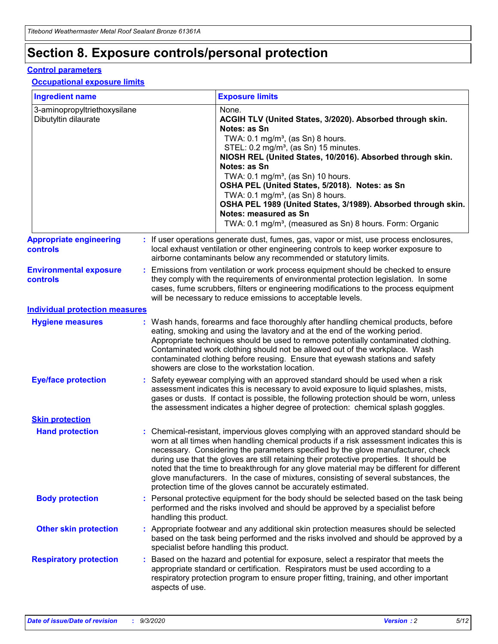# **Section 8. Exposure controls/personal protection**

#### **Control parameters**

#### **Occupational exposure limits**

| <b>Ingredient name</b>                               |    |                        | <b>Exposure limits</b>                                                                                                                                                                                                                                                                                                                                                                                                                                                                                                                                                                                                 |
|------------------------------------------------------|----|------------------------|------------------------------------------------------------------------------------------------------------------------------------------------------------------------------------------------------------------------------------------------------------------------------------------------------------------------------------------------------------------------------------------------------------------------------------------------------------------------------------------------------------------------------------------------------------------------------------------------------------------------|
| 3-aminopropyltriethoxysilane<br>Dibutyltin dilaurate |    |                        | None.<br>ACGIH TLV (United States, 3/2020). Absorbed through skin.<br>Notes: as Sn<br>TWA: $0.1 \text{ mg/m}^3$ , (as Sn) 8 hours.<br>STEL: 0.2 mg/m <sup>3</sup> , (as Sn) 15 minutes.<br>NIOSH REL (United States, 10/2016). Absorbed through skin.<br>Notes: as Sn<br>TWA: 0.1 mg/m <sup>3</sup> , (as Sn) 10 hours.<br>OSHA PEL (United States, 5/2018). Notes: as Sn<br>TWA: $0.1 \text{ mg/m}^3$ , (as Sn) 8 hours.<br>OSHA PEL 1989 (United States, 3/1989). Absorbed through skin.<br>Notes: measured as Sn<br>TWA: 0.1 mg/m <sup>3</sup> , (measured as Sn) 8 hours. Form: Organic                            |
| <b>Appropriate engineering</b><br>controls           |    |                        | : If user operations generate dust, fumes, gas, vapor or mist, use process enclosures,<br>local exhaust ventilation or other engineering controls to keep worker exposure to<br>airborne contaminants below any recommended or statutory limits.                                                                                                                                                                                                                                                                                                                                                                       |
| <b>Environmental exposure</b><br><b>controls</b>     |    |                        | Emissions from ventilation or work process equipment should be checked to ensure<br>they comply with the requirements of environmental protection legislation. In some<br>cases, fume scrubbers, filters or engineering modifications to the process equipment<br>will be necessary to reduce emissions to acceptable levels.                                                                                                                                                                                                                                                                                          |
| <b>Individual protection measures</b>                |    |                        |                                                                                                                                                                                                                                                                                                                                                                                                                                                                                                                                                                                                                        |
| <b>Hygiene measures</b>                              |    |                        | : Wash hands, forearms and face thoroughly after handling chemical products, before<br>eating, smoking and using the lavatory and at the end of the working period.<br>Appropriate techniques should be used to remove potentially contaminated clothing.<br>Contaminated work clothing should not be allowed out of the workplace. Wash<br>contaminated clothing before reusing. Ensure that eyewash stations and safety<br>showers are close to the workstation location.                                                                                                                                            |
| <b>Eye/face protection</b>                           |    |                        | Safety eyewear complying with an approved standard should be used when a risk<br>assessment indicates this is necessary to avoid exposure to liquid splashes, mists,<br>gases or dusts. If contact is possible, the following protection should be worn, unless<br>the assessment indicates a higher degree of protection: chemical splash goggles.                                                                                                                                                                                                                                                                    |
| <b>Skin protection</b>                               |    |                        |                                                                                                                                                                                                                                                                                                                                                                                                                                                                                                                                                                                                                        |
| <b>Hand protection</b>                               |    |                        | : Chemical-resistant, impervious gloves complying with an approved standard should be<br>worn at all times when handling chemical products if a risk assessment indicates this is<br>necessary. Considering the parameters specified by the glove manufacturer, check<br>during use that the gloves are still retaining their protective properties. It should be<br>noted that the time to breakthrough for any glove material may be different for different<br>glove manufacturers. In the case of mixtures, consisting of several substances, the<br>protection time of the gloves cannot be accurately estimated. |
| <b>Body protection</b>                               |    | handling this product. | Personal protective equipment for the body should be selected based on the task being<br>performed and the risks involved and should be approved by a specialist before                                                                                                                                                                                                                                                                                                                                                                                                                                                |
| <b>Other skin protection</b>                         |    |                        | Appropriate footwear and any additional skin protection measures should be selected<br>based on the task being performed and the risks involved and should be approved by a<br>specialist before handling this product.                                                                                                                                                                                                                                                                                                                                                                                                |
| <b>Respiratory protection</b>                        | ÷. | aspects of use.        | Based on the hazard and potential for exposure, select a respirator that meets the<br>appropriate standard or certification. Respirators must be used according to a<br>respiratory protection program to ensure proper fitting, training, and other important                                                                                                                                                                                                                                                                                                                                                         |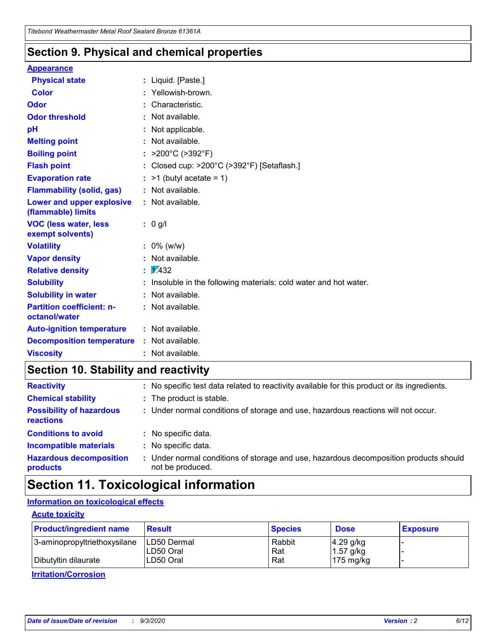### **Section 9. Physical and chemical properties**

#### **Appearance**

| <b>Physical state</b>                             | : Liquid. [Paste.]                                              |
|---------------------------------------------------|-----------------------------------------------------------------|
| <b>Color</b>                                      | Yellowish-brown.                                                |
| Odor                                              | : Characteristic.                                               |
| <b>Odor threshold</b>                             | : Not available.                                                |
| рH                                                | : Not applicable.                                               |
| <b>Melting point</b>                              | : Not available.                                                |
| <b>Boiling point</b>                              | >200°C (>392°F)                                                 |
| <b>Flash point</b>                                | : Closed cup: >200°C (>392°F) [Setaflash.]                      |
| <b>Evaporation rate</b>                           | $:$ >1 (butyl acetate = 1)                                      |
| <b>Flammability (solid, gas)</b>                  | : Not available.                                                |
| Lower and upper explosive<br>(flammable) limits   | : Not available.                                                |
| <b>VOC (less water, less</b><br>exempt solvents)  | $: 0$ g/l                                                       |
| <b>Volatility</b>                                 | $: 0\%$ (w/w)                                                   |
| <b>Vapor density</b>                              | : Not available.                                                |
| <b>Relative density</b>                           | $\frac{1}{2}$ $\frac{1}{432}$                                   |
| <b>Solubility</b>                                 | Insoluble in the following materials: cold water and hot water. |
| <b>Solubility in water</b>                        | : Not available.                                                |
| <b>Partition coefficient: n-</b><br>octanol/water | : Not available.                                                |
| <b>Auto-ignition temperature</b>                  | : Not available.                                                |
| <b>Decomposition temperature</b>                  | : Not available.                                                |
| <b>Viscosity</b>                                  | : Not available.                                                |

### **Section 10. Stability and reactivity**

| <b>Reactivity</b>                            |    | : No specific test data related to reactivity available for this product or its ingredients.            |
|----------------------------------------------|----|---------------------------------------------------------------------------------------------------------|
| <b>Chemical stability</b>                    |    | : The product is stable.                                                                                |
| <b>Possibility of hazardous</b><br>reactions |    | : Under normal conditions of storage and use, hazardous reactions will not occur.                       |
| <b>Conditions to avoid</b>                   |    | : No specific data.                                                                                     |
| <b>Incompatible materials</b>                |    | : No specific data.                                                                                     |
| <b>Hazardous decomposition</b><br>products   | ÷. | Under normal conditions of storage and use, hazardous decomposition products should<br>not be produced. |

### **Section 11. Toxicological information**

#### **Information on toxicological effects**

#### **Acute toxicity**

| <b>Product/ingredient name</b> | <b>Result</b>           | <b>Species</b> | <b>Dose</b>                | <b>Exposure</b> |
|--------------------------------|-------------------------|----------------|----------------------------|-----------------|
| 3-aminopropyltriethoxysilane   | <b>ILD50 Dermal</b>     | Rabbit         | 4.29 g/kg                  |                 |
| Dibutyltin dilaurate           | ILD50 Oral<br>LD50 Oral | Rat<br>Rat     | $1.57$ g/kg<br>175 $mg/kg$ |                 |
|                                |                         |                |                            |                 |

**Irritation/Corrosion**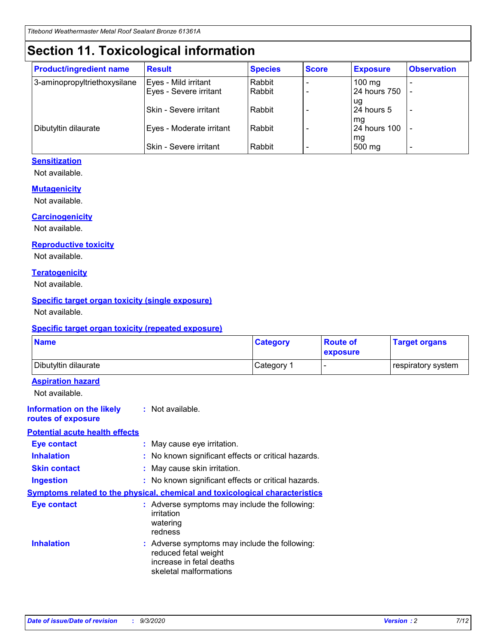# **Section 11. Toxicological information**

| <b>Product/ingredient name</b> | <b>Result</b>                 | <b>Species</b> | <b>Score</b> | <b>Exposure</b>           | <b>Observation</b> |
|--------------------------------|-------------------------------|----------------|--------------|---------------------------|--------------------|
| 3-aminopropyltriethoxysilane   | Eyes - Mild irritant          | Rabbit         |              | $100$ mg                  |                    |
|                                | Eyes - Severe irritant        | Rabbit         |              | 24 hours 750              |                    |
|                                |                               |                |              | ug                        |                    |
|                                | <b>Skin - Severe irritant</b> | Rabbit         |              | 24 hours 5                | ۰                  |
| Dibutyltin dilaurate           | Eyes - Moderate irritant      | Rabbit         |              | mq<br><b>24 hours 100</b> |                    |
|                                |                               |                |              | mg                        |                    |
|                                | Skin - Severe irritant        | Rabbit         |              | 500 mg                    |                    |

#### **Sensitization**

Not available.

#### **Mutagenicity**

Not available.

#### **Carcinogenicity**

Not available.

#### **Reproductive toxicity**

Not available.

#### **Teratogenicity**

Not available.

#### **Specific target organ toxicity (single exposure)**

Not available.

#### **Specific target organ toxicity (repeated exposure)**

| <b>Name</b>                                                                  |                                                                            | <b>Category</b>                                     | <b>Route of</b><br>exposure | <b>Target organs</b> |  |  |
|------------------------------------------------------------------------------|----------------------------------------------------------------------------|-----------------------------------------------------|-----------------------------|----------------------|--|--|
| Dibutyltin dilaurate                                                         |                                                                            | Category 1                                          |                             | respiratory system   |  |  |
| <b>Aspiration hazard</b><br>Not available.                                   |                                                                            |                                                     |                             |                      |  |  |
| <b>Information on the likely</b><br>routes of exposure                       | : Not available.                                                           |                                                     |                             |                      |  |  |
| <b>Potential acute health effects</b>                                        |                                                                            |                                                     |                             |                      |  |  |
| <b>Eye contact</b>                                                           |                                                                            | : May cause eye irritation.                         |                             |                      |  |  |
| <b>Inhalation</b>                                                            |                                                                            | : No known significant effects or critical hazards. |                             |                      |  |  |
| <b>Skin contact</b>                                                          |                                                                            | : May cause skin irritation.                        |                             |                      |  |  |
| <b>Ingestion</b>                                                             |                                                                            | : No known significant effects or critical hazards. |                             |                      |  |  |
| Symptoms related to the physical, chemical and toxicological characteristics |                                                                            |                                                     |                             |                      |  |  |
| <b>Eye contact</b>                                                           | irritation<br>watering<br>redness                                          | : Adverse symptoms may include the following:       |                             |                      |  |  |
| <b>Inhalation</b>                                                            | reduced fetal weight<br>increase in fetal deaths<br>skeletal malformations | : Adverse symptoms may include the following:       |                             |                      |  |  |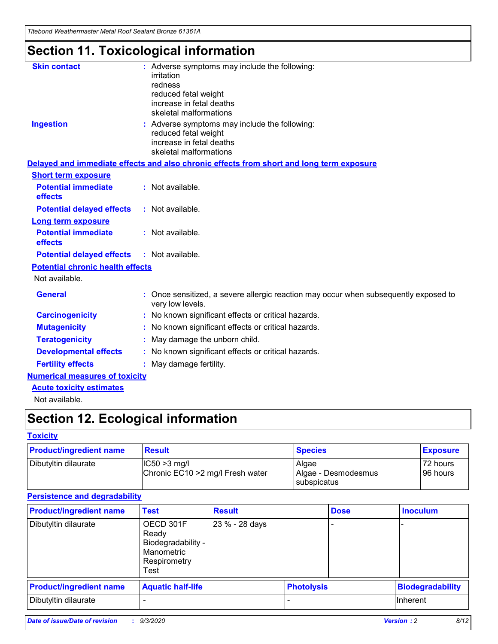*Titebond Weathermaster Metal Roof Sealant Bronze 61361A*

# **Section 11. Toxicological information**

| <b>Skin contact</b>                     | : Adverse symptoms may include the following:<br>irritation                                                                 |  |
|-----------------------------------------|-----------------------------------------------------------------------------------------------------------------------------|--|
|                                         | redness                                                                                                                     |  |
|                                         | reduced fetal weight<br>increase in fetal deaths                                                                            |  |
|                                         | skeletal malformations                                                                                                      |  |
| <b>Ingestion</b>                        | : Adverse symptoms may include the following:<br>reduced fetal weight<br>increase in fetal deaths<br>skeletal malformations |  |
|                                         | Delayed and immediate effects and also chronic effects from short and long term exposure                                    |  |
| <b>Short term exposure</b>              |                                                                                                                             |  |
| <b>Potential immediate</b><br>effects   | : Not available.                                                                                                            |  |
| <b>Potential delayed effects</b>        | : Not available.                                                                                                            |  |
| <b>Long term exposure</b>               |                                                                                                                             |  |
| <b>Potential immediate</b><br>effects   | : Not available.                                                                                                            |  |
| <b>Potential delayed effects</b>        | : Not available.                                                                                                            |  |
| <b>Potential chronic health effects</b> |                                                                                                                             |  |
| Not available.                          |                                                                                                                             |  |
| <b>General</b>                          | : Once sensitized, a severe allergic reaction may occur when subsequently exposed to<br>very low levels.                    |  |
| <b>Carcinogenicity</b>                  | : No known significant effects or critical hazards.                                                                         |  |
| <b>Mutagenicity</b>                     | : No known significant effects or critical hazards.                                                                         |  |
| <b>Teratogenicity</b>                   | May damage the unborn child.                                                                                                |  |
| <b>Developmental effects</b>            | : No known significant effects or critical hazards.                                                                         |  |
| <b>Fertility effects</b>                | : May damage fertility.                                                                                                     |  |
| <b>Numerical measures of toxicity</b>   |                                                                                                                             |  |
| <b>Acute toxicity estimates</b>         |                                                                                                                             |  |
| والمادانون والملا                       |                                                                                                                             |  |

Not available.

# **Section 12. Ecological information**

#### **Toxicity**

| <b>Product/ingredient name</b> | <b>Result</b>                                       | <b>Species</b>               | <b>Exposure</b>       |
|--------------------------------|-----------------------------------------------------|------------------------------|-----------------------|
| Dibutyltin dilaurate           | $ CC50>3$ mg/l<br>Chronic EC10 > 2 mg/l Fresh water | Algae<br>Algae - Desmodesmus | 72 hours<br>196 hours |
|                                |                                                     | <b>I</b> subspicatus         |                       |

#### **Persistence and degradability**

| <b>Product/ingredient name</b> | <b>Test</b>                                                                    | <b>Result</b>  |                   | <b>Dose</b> | <b>Inoculum</b>         |
|--------------------------------|--------------------------------------------------------------------------------|----------------|-------------------|-------------|-------------------------|
| Dibutyltin dilaurate           | OECD 301F<br>Ready<br>Biodegradability -<br>Manometric<br>Respirometry<br>Test | 23 % - 28 days |                   |             |                         |
| <b>Product/ingredient name</b> | <b>Aquatic half-life</b>                                                       |                | <b>Photolysis</b> |             | <b>Biodegradability</b> |
| Dibutyltin dilaurate           |                                                                                |                |                   |             | <b>Inherent</b>         |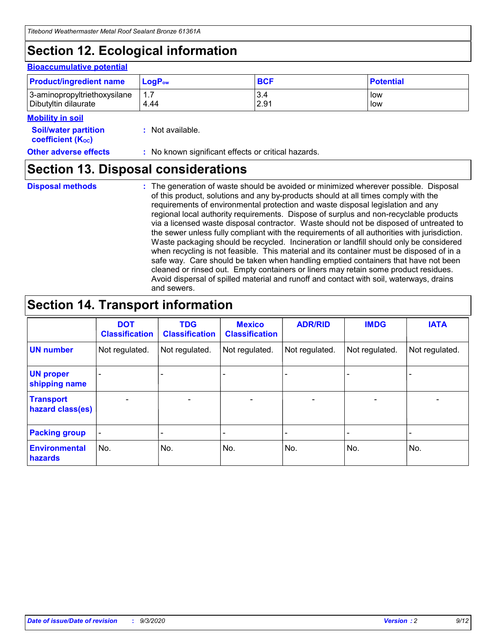# **Section 12. Ecological information**

#### **Bioaccumulative potential**

| <b>Product/ingredient name</b> | $\mathsf{LogP}_\mathsf{ow}$ | <b>BCF</b> | <b>Potential</b> |
|--------------------------------|-----------------------------|------------|------------------|
| 3-aminopropyltriethoxysilane   | 1.7                         | 3.4        | low              |
| Dibutyltin dilaurate           | 4.44                        | 2.91       | low              |

#### **Mobility in soil**

| IVIUWIILV III SUII                                            |                                                     |
|---------------------------------------------------------------|-----------------------------------------------------|
| <b>Soil/water partition</b><br>coefficient (K <sub>oc</sub> ) | : Not available.                                    |
| <b>Other adverse effects</b>                                  | : No known significant effects or critical hazards. |

### **Section 13. Disposal considerations**

**Disposal methods :**

The generation of waste should be avoided or minimized wherever possible. Disposal of this product, solutions and any by-products should at all times comply with the requirements of environmental protection and waste disposal legislation and any regional local authority requirements. Dispose of surplus and non-recyclable products via a licensed waste disposal contractor. Waste should not be disposed of untreated to the sewer unless fully compliant with the requirements of all authorities with jurisdiction. Waste packaging should be recycled. Incineration or landfill should only be considered when recycling is not feasible. This material and its container must be disposed of in a safe way. Care should be taken when handling emptied containers that have not been cleaned or rinsed out. Empty containers or liners may retain some product residues. Avoid dispersal of spilled material and runoff and contact with soil, waterways, drains and sewers.

### **Section 14. Transport information**

|                                      | <b>DOT</b><br><b>Classification</b> | <b>TDG</b><br><b>Classification</b> | <b>Mexico</b><br><b>Classification</b> | <b>ADR/RID</b>           | <b>IMDG</b>              | <b>IATA</b>    |
|--------------------------------------|-------------------------------------|-------------------------------------|----------------------------------------|--------------------------|--------------------------|----------------|
| <b>UN number</b>                     | Not regulated.                      | Not regulated.                      | Not regulated.                         | Not regulated.           | Not regulated.           | Not regulated. |
| <b>UN proper</b><br>shipping name    |                                     |                                     |                                        |                          |                          |                |
| <b>Transport</b><br>hazard class(es) |                                     | $\overline{\phantom{0}}$            | $\qquad \qquad \blacksquare$           | $\overline{\phantom{0}}$ | $\overline{\phantom{0}}$ |                |
| <b>Packing group</b>                 |                                     |                                     |                                        |                          |                          |                |
| <b>Environmental</b><br>hazards      | No.                                 | No.                                 | No.                                    | No.                      | No.                      | No.            |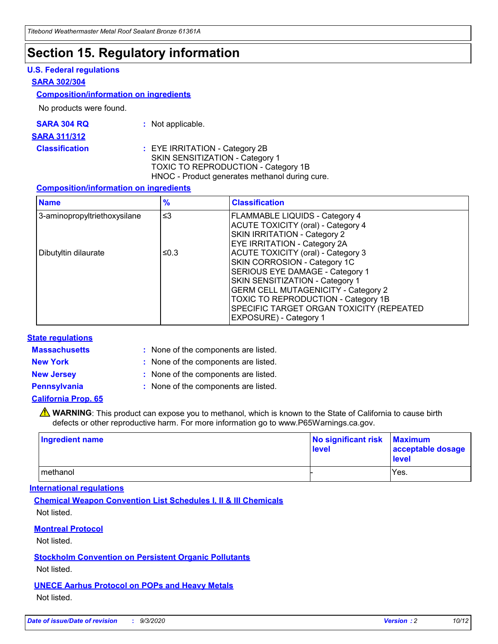### **Section 15. Regulatory information**

#### **U.S. Federal regulations**

#### **SARA 302/304**

#### **Composition/information on ingredients**

No products were found.

| SARA 304 RQ | Not applicable. |
|-------------|-----------------|
|-------------|-----------------|

#### **SARA 311/312**

**Classification :** EYE IRRITATION - Category 2B SKIN SENSITIZATION - Category 1 TOXIC TO REPRODUCTION - Category 1B HNOC - Product generates methanol during cure.

#### **Composition/information on ingredients**

| <b>Name</b>                  | $\frac{9}{6}$ | <b>Classification</b>                                                                                                                                                                                                                                                                                      |
|------------------------------|---------------|------------------------------------------------------------------------------------------------------------------------------------------------------------------------------------------------------------------------------------------------------------------------------------------------------------|
| 3-aminopropyltriethoxysilane | $\leq$ 3      | <b>FLAMMABLE LIQUIDS - Category 4</b><br><b>ACUTE TOXICITY (oral) - Category 4</b><br><b>SKIN IRRITATION - Category 2</b><br>EYE IRRITATION - Category 2A                                                                                                                                                  |
| Dibutyltin dilaurate         | ≤0.3          | <b>ACUTE TOXICITY (oral) - Category 3</b><br>SKIN CORROSION - Category 1C<br>SERIOUS EYE DAMAGE - Category 1<br>SKIN SENSITIZATION - Category 1<br><b>GERM CELL MUTAGENICITY - Category 2</b><br>TOXIC TO REPRODUCTION - Category 1B<br>SPECIFIC TARGET ORGAN TOXICITY (REPEATED<br>EXPOSURE) - Category 1 |

#### **State regulations**

**Massachusetts :**

: None of the components are listed.

**New York :** None of the components are listed. **New Jersey :** None of the components are listed.

**Pennsylvania :** None of the components are listed.

#### **California Prop. 65**

WARNING: This product can expose you to methanol, which is known to the State of California to cause birth defects or other reproductive harm. For more information go to www.P65Warnings.ca.gov.

| Ingredient name | No significant risk<br>level | <b>Maximum</b><br>acceptable dosage<br><b>level</b> |
|-----------------|------------------------------|-----------------------------------------------------|
| l methanol      |                              | Yes.                                                |

#### **International regulations**

**Chemical Weapon Convention List Schedules I, II & III Chemicals** Not listed.

#### **Montreal Protocol**

Not listed.

**Stockholm Convention on Persistent Organic Pollutants**

Not listed.

#### **UNECE Aarhus Protocol on POPs and Heavy Metals** Not listed.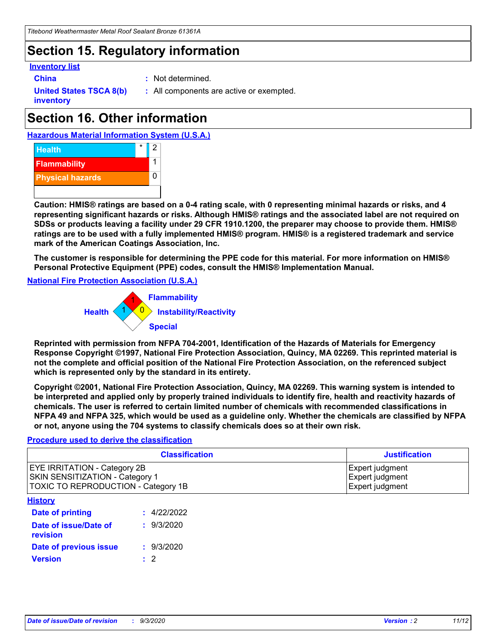# **Section 15. Regulatory information**

#### **Inventory list**

- 
- **China :** Not determined.

**United States TSCA 8(b) inventory**

**:** All components are active or exempted.

# **Section 16. Other information**





**Caution: HMIS® ratings are based on a 0-4 rating scale, with 0 representing minimal hazards or risks, and 4 representing significant hazards or risks. Although HMIS® ratings and the associated label are not required on SDSs or products leaving a facility under 29 CFR 1910.1200, the preparer may choose to provide them. HMIS® ratings are to be used with a fully implemented HMIS® program. HMIS® is a registered trademark and service mark of the American Coatings Association, Inc.**

**The customer is responsible for determining the PPE code for this material. For more information on HMIS® Personal Protective Equipment (PPE) codes, consult the HMIS® Implementation Manual.**

**National Fire Protection Association (U.S.A.)**



**Reprinted with permission from NFPA 704-2001, Identification of the Hazards of Materials for Emergency Response Copyright ©1997, National Fire Protection Association, Quincy, MA 02269. This reprinted material is not the complete and official position of the National Fire Protection Association, on the referenced subject which is represented only by the standard in its entirety.**

**Copyright ©2001, National Fire Protection Association, Quincy, MA 02269. This warning system is intended to be interpreted and applied only by properly trained individuals to identify fire, health and reactivity hazards of chemicals. The user is referred to certain limited number of chemicals with recommended classifications in NFPA 49 and NFPA 325, which would be used as a guideline only. Whether the chemicals are classified by NFPA or not, anyone using the 704 systems to classify chemicals does so at their own risk.**

#### **Procedure used to derive the classification**

| <b>Classification</b>                                                                                         | <b>Justification</b>                                  |
|---------------------------------------------------------------------------------------------------------------|-------------------------------------------------------|
| <b>EYE IRRITATION - Category 2B</b><br>SKIN SENSITIZATION - Category 1<br>TOXIC TO REPRODUCTION - Category 1B | Expert judgment<br>Expert judgment<br>Expert judgment |
| <b>History</b>                                                                                                |                                                       |

| .                                 |             |
|-----------------------------------|-------------|
| <b>Date of printing</b>           | : 4/22/2022 |
| Date of issue/Date of<br>revision | : 9/3/2020  |
| Date of previous issue            | : 9/3/2020  |
| <b>Version</b>                    | $\cdot$ 2   |
|                                   |             |